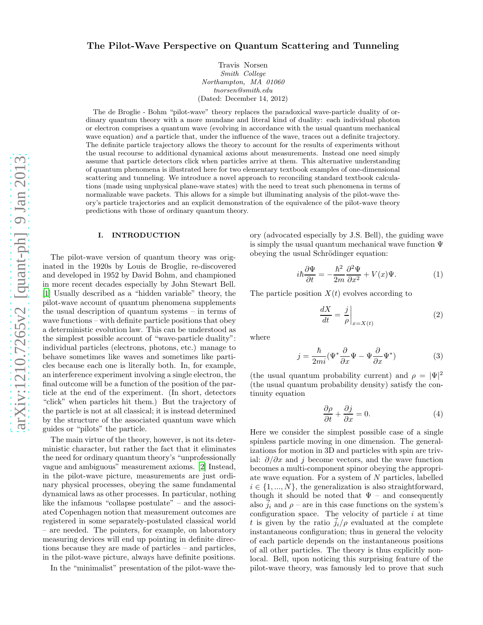# The Pilot-Wave Perspective on Quantum Scattering and Tunneling

Travis Norsen *Smith College Northampton, MA 01060 tnorsen@smith.edu* (Dated: December 14, 2012)

The de Broglie - Bohm "pilot-wave" theory replaces the paradoxical wave-particle duality of ordinary quantum theory with a more mundane and literal kind of duality: each individual photon or electron comprises a quantum wave (evolving in accordance with the usual quantum mechanical wave equation) *and* a particle that, under the influence of the wave, traces out a definite trajectory. The definite particle trajectory allows the theory to account for the results of experiments without the usual recourse to additional dynamical axioms about measurements. Instead one need simply assume that particle detectors click when particles arrive at them. This alternative understanding of quantum phenomena is illustrated here for two elementary textbook examples of one-dimensional scattering and tunneling. We introduce a novel approach to reconciling standard textbook calculations (made using unphysical plane-wave states) with the need to treat such phenomena in terms of normalizable wave packets. This allows for a simple but illuminating analysis of the pilot-wave theory's particle trajectories and an explicit demonstration of the equivalence of the pilot-wave theory predictions with those of ordinary quantum theory.

## I. INTRODUCTION

The pilot-wave version of quantum theory was originated in the 1920s by Louis de Broglie, re-discovered and developed in 1952 by David Bohm, and championed in more recent decades especially by John Stewart Bell. [\[1\]](#page-8-0) Usually described as a "hidden variable" theory, the pilot-wave account of quantum phenomena supplements the usual description of quantum systems – in terms of wave functions – with definite particle positions that obey a deterministic evolution law. This can be understood as the simplest possible account of "wave-particle duality": individual particles (electrons, photons, etc.) manage to behave sometimes like waves and sometimes like particles because each one is literally both. In, for example, an interference experiment involving a single electron, the final outcome will be a function of the position of the particle at the end of the experiment. (In short, detectors "click" when particles hit them.) But the trajectory of the particle is not at all classical; it is instead determined by the structure of the associated quantum wave which guides or "pilots" the particle.

The main virtue of the theory, however, is not its deterministic character, but rather the fact that it eliminates the need for ordinary quantum theory's "unprofessionally vague and ambiguous" measurement axioms. [\[2\]](#page-9-0) Instead, in the pilot-wave picture, measurements are just ordinary physical processes, obeying the same fundamental dynamical laws as other processes. In particular, nothing like the infamous "collapse postulate" – and the associated Copenhagen notion that measurement outcomes are registered in some separately-postulated classical world – are needed. The pointers, for example, on laboratory measuring devices will end up pointing in definite directions because they are made of particles – and particles, in the pilot-wave picture, always have definite positions.

In the "minimalist" presentation of the pilot-wave the-

ory (advocated especially by J.S. Bell), the guiding wave is simply the usual quantum mechanical wave function Ψ obeying the usual Schrödinger equation:

$$
i\hbar \frac{\partial \Psi}{\partial t} = -\frac{\hbar^2}{2m} \frac{\partial^2 \Psi}{\partial x^2} + V(x)\Psi.
$$
 (1)

The particle position  $X(t)$  evolves according to

<span id="page-0-1"></span>
$$
\frac{dX}{dt} = \frac{j}{\rho}\bigg|_{x=X(t)}\tag{2}
$$

where

<span id="page-0-0"></span>
$$
j = \frac{\hbar}{2mi} (\Psi^* \frac{\partial}{\partial x} \Psi - \Psi \frac{\partial}{\partial x} \Psi^*)
$$
 (3)

(the usual quantum probability current) and  $\rho = |\Psi|^2$ (the usual quantum probability density) satisfy the continuity equation

<span id="page-0-2"></span>
$$
\frac{\partial \rho}{\partial t} + \frac{\partial j}{\partial x} = 0.
$$
 (4)

Here we consider the simplest possible case of a single spinless particle moving in one dimension. The generalizations for motion in 3D and particles with spin are trivial:  $\partial/\partial x$  and j become vectors, and the wave function becomes a multi-component spinor obeying the appropriate wave equation. For a system of N particles, labelled  $i \in \{1, ..., N\}$ , the generalization is also straightforward, though it should be noted that  $\Psi$  – and consequently also  $\vec{j}_i$  and  $\rho$  – are in this case functions on the system's configuration space. The velocity of particle  $i$  at time t is given by the ratio  $j_i/\rho$  evaluated at the complete instantaneous configuration; thus in general the velocity of each particle depends on the instantaneous positions of all other particles. The theory is thus explicitly nonlocal. Bell, upon noticing this surprising feature of the pilot-wave theory, was famously led to prove that such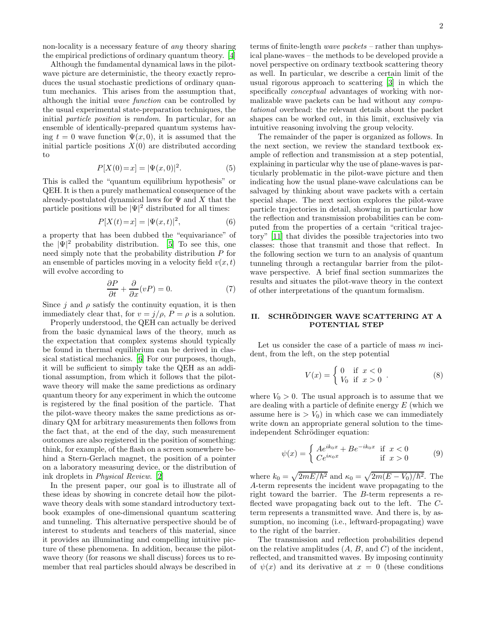non-locality is a necessary feature of any theory sharing the empirical predictions of ordinary quantum theory. [\[4](#page-9-1)]

Although the fundamental dynamical laws in the pilotwave picture are deterministic, the theory exactly reproduces the usual stochastic predictions of ordinary quantum mechanics. This arises from the assumption that, although the initial wave function can be controlled by the usual experimental state-preparation techniques, the initial particle position is random. In particular, for an ensemble of identically-prepared quantum systems having  $t = 0$  wave function  $\Psi(x, 0)$ , it is assumed that the initial particle positions  $X(0)$  are distributed according to

<span id="page-1-2"></span>
$$
P[X(0) = x] = |\Psi(x, 0)|^2.
$$
 (5)

This is called the "quantum equilibrium hypothesis" or QEH. It is then a purely mathematical consequence of the already-postulated dynamical laws for  $\Psi$  and X that the particle positions will be  $|\Psi|^2$  distributed for all times:

<span id="page-1-1"></span>
$$
P[X(t) = x] = |\Psi(x, t)|^2,
$$
\n(6)

a property that has been dubbed the "equivariance" of the  $|\Psi|^2$  probability distribution. [\[5\]](#page-9-2) To see this, one need simply note that the probability distribution P for an ensemble of particles moving in a velocity field  $v(x, t)$ will evolve according to

$$
\frac{\partial P}{\partial t} + \frac{\partial}{\partial x}(vP) = 0.
$$
 (7)

Since  $j$  and  $\rho$  satisfy the continuity equation, it is then immediately clear that, for  $v = j/\rho$ ,  $P = \rho$  is a solution.

Properly understood, the QEH can actually be derived from the basic dynamical laws of the theory, much as the expectation that complex systems should typically be found in thermal equilibrium can be derived in classical statistical mechanics. [\[6](#page-9-3)] For our purposes, though, it will be sufficient to simply take the QEH as an additional assumption, from which it follows that the pilotwave theory will make the same predictions as ordinary quantum theory for any experiment in which the outcome is registered by the final position of the particle. That the pilot-wave theory makes the same predictions as ordinary QM for arbitrary measurements then follows from the fact that, at the end of the day, such measurement outcomes are also registered in the position of something: think, for example, of the flash on a screen somewhere behind a Stern-Gerlach magnet, the position of a pointer on a laboratory measuring device, or the distribution of ink droplets in Physical Review. [\[2\]](#page-9-0)

In the present paper, our goal is to illustrate all of these ideas by showing in concrete detail how the pilotwave theory deals with some standard introductory textbook examples of one-dimensional quantum scattering and tunneling. This alternative perspective should be of interest to students and teachers of this material, since it provides an illuminating and compelling intuitive picture of these phenomena. In addition, because the pilotwave theory (for reasons we shall discuss) forces us to remember that real particles should always be described in terms of finite-length wave packets – rather than unphysical plane-waves – the methods to be developed provide a novel perspective on ordinary textbook scattering theory as well. In particular, we describe a certain limit of the usual rigorous approach to scattering [\[3\]](#page-9-4) in which the specifically *conceptual* advantages of working with normalizable wave packets can be had without any computational overhead: the relevant details about the packet shapes can be worked out, in this limit, exclusively via intuitive reasoning involving the group velocity.

The remainder of the paper is organized as follows. In the next section, we review the standard textbook example of reflection and transmission at a step potential, explaining in particular why the use of plane-waves is particularly problematic in the pilot-wave picture and then indicating how the usual plane-wave calculations can be salvaged by thinking about wave packets with a certain special shape. The next section explores the pilot-wave particle trajectories in detail, showing in particular how the reflection and transmission probabilities can be computed from the properties of a certain "critical trajectory" [\[11](#page-9-5)] that divides the possible trajectories into two classes: those that transmit and those that reflect. In the following section we turn to an analysis of quantum tunneling through a rectangular barrier from the pilotwave perspective. A brief final section summarizes the results and situates the pilot-wave theory in the context of other interpretations of the quantum formalism.

# II. SCHRÖDINGER WAVE SCATTERING AT A POTENTIAL STEP

Let us consider the case of a particle of mass  $m$  incident, from the left, on the step potential

$$
V(x) = \begin{cases} 0 & \text{if } x < 0 \\ V_0 & \text{if } x > 0 \end{cases} .
$$
 (8)

where  $V_0 > 0$ . The usual approach is to assume that we are dealing with a particle of definite energy E (which we assume here is  $> V_0$  in which case we can immediately write down an appropriate general solution to the timeindependent Schrödinger equation:

<span id="page-1-0"></span>
$$
\psi(x) = \begin{cases} Ae^{ik_0x} + Be^{-ik_0x} & \text{if } x < 0\\ Ce^{ik_0x} & \text{if } x > 0 \end{cases}
$$
 (9)

where  $k_0 = \sqrt{2mE/\hbar^2}$  and  $\kappa_0 = \sqrt{2m(E - V_0)/\hbar^2}$ . The A-term represents the incident wave propagating to the right toward the barrier. The B-term represents a reflected wave propagating back out to the left. The Cterm represents a transmitted wave. And there is, by assumption, no incoming (i.e., leftward-propagating) wave to the right of the barrier.

The transmission and reflection probabilities depend on the relative amplitudes  $(A, B, \text{ and } C)$  of the incident, reflected, and transmitted waves. By imposing continuity of  $\psi(x)$  and its derivative at  $x = 0$  (these conditions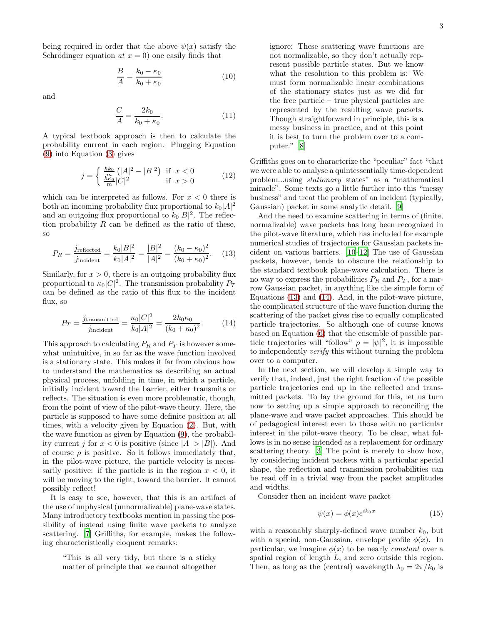being required in order that the above  $\psi(x)$  satisfy the Schrödinger equation  $at\ x = 0$ ) one easily finds that

<span id="page-2-2"></span>
$$
\frac{B}{A} = \frac{k_0 - \kappa_0}{k_0 + \kappa_0} \tag{10}
$$

and

$$
\frac{C}{A} = \frac{2k_0}{k_0 + \kappa_0}.\tag{11}
$$

A typical textbook approach is then to calculate the probability current in each region. Plugging Equation [\(9\)](#page-1-0) into Equation [\(3\)](#page-0-0) gives

$$
j = \begin{cases} \frac{\hbar k_0}{m} \left( |A|^2 - |B|^2 \right) & \text{if } x < 0\\ \frac{\hbar k_0}{m} |C|^2 & \text{if } x > 0 \end{cases}
$$
(12)

which can be interpreted as follows. For  $x < 0$  there is both an incoming probability flux proportional to  $k_0|A|^2$ and an outgoing flux proportional to  $k_0|B|^2$ . The reflection probability  $R$  can be defined as the ratio of these, so

<span id="page-2-0"></span>
$$
P_R = \frac{j_{\text{reflected}}}{j_{\text{incident}}} = \frac{k_0|B|^2}{k_0|A|^2} = \frac{|B|^2}{|A|^2} = \frac{(k_0 - \kappa_0)^2}{(k_0 + \kappa_0)^2}.
$$
 (13)

Similarly, for  $x > 0$ , there is an outgoing probability flux proportional to  $\kappa_0|C|^2$ . The transmission probability  $P_T$ can be defined as the ratio of this flux to the incident flux, so

<span id="page-2-1"></span>
$$
P_T = \frac{j_{\text{transmitted}}}{j_{\text{incident}}} = \frac{\kappa_0 |C|^2}{k_0 |A|^2} = \frac{2k_0 \kappa_0}{(k_0 + \kappa_0)^2}.
$$
 (14)

This approach to calculating  $P_R$  and  $P_T$  is however somewhat unintuitive, in so far as the wave function involved is a stationary state. This makes it far from obvious how to understand the mathematics as describing an actual physical process, unfolding in time, in which a particle, initially incident toward the barrier, either transmits or reflects. The situation is even more problematic, though, from the point of view of the pilot-wave theory. Here, the particle is supposed to have some definite position at all times, with a velocity given by Equation [\(2\)](#page-0-1). But, with the wave function as given by Equation [\(9\)](#page-1-0), the probability current j for  $x < 0$  is positive (since  $|A| > |B|$ ). And of course  $\rho$  is positive. So it follows immediately that, in the pilot-wave picture, the particle velocity is necessarily positive: if the particle is in the region  $x < 0$ , it will be moving to the right, toward the barrier. It cannot possibly reflect!

It is easy to see, however, that this is an artifact of the use of unphysical (unnormalizable) plane-wave states. Many introductory textbooks mention in passing the possibility of instead using finite wave packets to analyze scattering. [\[7\]](#page-9-6) Griffiths, for example, makes the following characteristically eloquent remarks:

> "This is all very tidy, but there is a sticky matter of principle that we cannot altogether

ignore: These scattering wave functions are not normalizable, so they don't actually represent possible particle states. But we know what the resolution to this problem is: We must form normalizable linear combinations of the stationary states just as we did for the free particle – true physical particles are represented by the resulting wave packets. Though straightforward in principle, this is a messy business in practice, and at this point it is best to turn the problem over to a computer." [\[8](#page-9-7)]

Griffiths goes on to characterize the "peculiar" fact "that we were able to analyse a quintessentially time-dependent problem...using stationary states" as a "mathematical miracle". Some texts go a little further into this "messy business" and treat the problem of an incident (typically, Gaussian) packet in some analytic detail. [\[9\]](#page-9-8)

And the need to examine scattering in terms of (finite, normalizable) wave packets has long been recognized in the pilot-wave literature, which has included for example numerical studies of trajectories for Gaussian packets incident on various barriers. [\[10](#page-9-9)[–12\]](#page-9-10) The use of Gaussian packets, however, tends to obscure the relationship to the standard textbook plane-wave calculation. There is no way to express the probabilities  $P_R$  and  $P_T$ , for a narrow Gaussian packet, in anything like the simple form of Equations [\(13\)](#page-2-0) and [\(14\)](#page-2-1). And, in the pilot-wave picture, the complicated structure of the wave function during the scattering of the packet gives rise to equally complicated particle trajectories. So although one of course knows based on Equation [\(6\)](#page-1-1) that the ensemble of possible particle trajectories will "follow"  $\rho = |\psi|^2$ , it is impossible to independently *verify* this without turning the problem over to a computer.

In the next section, we will develop a simple way to verify that, indeed, just the right fraction of the possible particle trajectories end up in the reflected and transmitted packets. To lay the ground for this, let us turn now to setting up a simple approach to reconciling the plane-wave and wave packet approaches. This should be of pedagogical interest even to those with no particular interest in the pilot-wave theory. To be clear, what follows is in no sense intended as a replacement for ordinary scattering theory. [\[3\]](#page-9-4) The point is merely to show how, by considering incident packets with a particular special shape, the reflection and transmission probabilities can be read off in a trivial way from the packet amplitudes and widths.

Consider then an incident wave packet

$$
\psi(x) = \phi(x)e^{ik_0x} \tag{15}
$$

with a reasonably sharply-defined wave number  $k_0$ , but with a special, non-Gaussian, envelope profile  $\phi(x)$ . In particular, we imagine  $\phi(x)$  to be nearly *constant* over a spatial region of length L, and zero outside this region. Then, as long as the (central) wavelength  $\lambda_0 = 2\pi/k_0$  is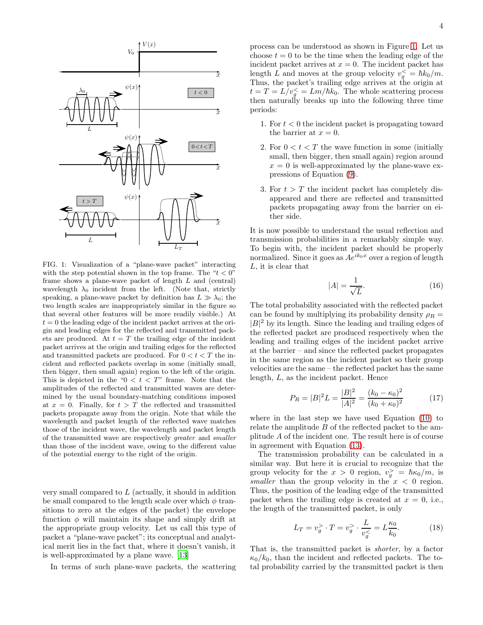

<span id="page-3-0"></span>FIG. 1: Visualization of a "plane-wave packet" interacting with the step potential shown in the top frame. The " $t < 0$ " frame shows a plane-wave packet of length L and (central) wavelength  $\lambda_0$  incident from the left. (Note that, strictly speaking, a plane-wave packet by definition has  $L \gg \lambda_0$ ; the two length scales are inappropriately similar in the figure so that several other features will be more readily visible.) At  $t = 0$  the leading edge of the incident packet arrives at the origin and leading edges for the reflected and transmitted packets are produced. At  $t = T$  the trailing edge of the incident packet arrives at the origin and trailing edges for the reflected and transmitted packets are produced. For  $0 < t < T$  the incident and reflected packets overlap in some (initially small, then bigger, then small again) region to the left of the origin. This is depicted in the " $0 < t < T$ " frame. Note that the amplitudes of the reflected and transmitted waves are determined by the usual boundary-matching conditions imposed at  $x = 0$ . Finally, for  $t > T$  the reflected and transmitted packets propagate away from the origin. Note that while the wavelength and packet length of the reflected wave matches those of the incident wave, the wavelength and packet length of the transmitted wave are respectively *greater* and *smaller* than those of the incident wave, owing to the different value of the potential energy to the right of the origin.

very small compared to L (actually, it should in addition be small compared to the length scale over which  $\phi$  transitions to zero at the edges of the packet) the envelope function  $\phi$  will maintain its shape and simply drift at the appropriate group velocity. Let us call this type of packet a "plane-wave packet"; its conceptual and analytical merit lies in the fact that, where it doesn't vanish, it is well-approximated by a plane wave. [\[13\]](#page-9-11)

In terms of such plane-wave packets, the scattering

process can be understood as shown in Figure [1.](#page-3-0) Let us choose  $t = 0$  to be the time when the leading edge of the incident packet arrives at  $x = 0$ . The incident packet has length L and moves at the group velocity  $v_g^{\leq} = \hbar k_0/m$ . Thus, the packet's trailing edge arrives at the origin at  $t = T = L/v_g^2 = Lm/\hbar k_0$ . The whole scattering process then naturally breaks up into the following three time periods:

- 1. For  $t < 0$  the incident packet is propagating toward the barrier at  $x = 0$ .
- 2. For  $0 < t < T$  the wave function in some (initially small, then bigger, then small again) region around  $x = 0$  is well-approximated by the plane-wave expressions of Equation [\(9\)](#page-1-0).
- 3. For  $t > T$  the incident packet has completely disappeared and there are reflected and transmitted packets propagating away from the barrier on either side.

It is now possible to understand the usual reflection and transmission probabilities in a remarkably simple way. To begin with, the incident packet should be properly normalized. Since it goes as  $Ae^{ik_0x}$  over a region of length L, it is clear that

$$
|A| = \frac{1}{\sqrt{L}}.\tag{16}
$$

The total probability associated with the reflected packet can be found by multiplying its probability density  $\rho_R =$  $|B|^2$  by its length. Since the leading and trailing edges of the reflected packet are produced respectively when the leading and trailing edges of the incident packet arrive at the barrier – and since the reflected packet propagates in the same region as the incident packet so their group velocities are the same – the reflected packet has the same length, L, as the incident packet. Hence

$$
P_R = |B|^2 L = \frac{|B|^2}{|A|^2} = \frac{(k_0 - \kappa_0)^2}{(k_0 + \kappa_0)^2}
$$
(17)

where in the last step we have used Equation [\(10\)](#page-2-2) to relate the amplitude B of the reflected packet to the amplitude A of the incident one. The result here is of course in agreement with Equation [\(13\)](#page-2-0).

The transmission probability can be calculated in a similar way. But here it is crucial to recognize that the group velocity for the  $x > 0$  region,  $v_g^> = \hbar \kappa_0/m$ , is smaller than the group velocity in the  $x < 0$  region. Thus, the position of the leading edge of the transmitted packet when the trailing edge is created at  $x = 0$ , i.e., the length of the transmitted packet, is only

$$
L_T = v_g^> \cdot T = v_g^> \cdot \frac{L}{v_g^<} = L \frac{\kappa_0}{k_0}.
$$
 (18)

That is, the transmitted packet is shorter, by a factor  $\kappa_0/k_0$ , than the incident and reflected packets. The total probability carried by the transmitted packet is then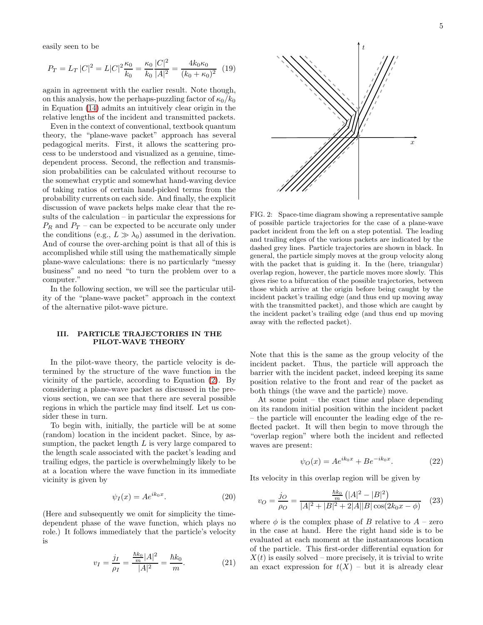easily seen to be

$$
P_T = L_T |C|^2 = L|C|^2 \frac{\kappa_0}{k_0} = \frac{\kappa_0}{k_0} \frac{|C|^2}{|A|^2} = \frac{4k_0 \kappa_0}{(k_0 + \kappa_0)^2} \tag{19}
$$

again in agreement with the earlier result. Note though, on this analysis, how the perhaps-puzzling factor of  $\kappa_0/k_0$ in Equation [\(14\)](#page-2-1) admits an intuitively clear origin in the relative lengths of the incident and transmitted packets.

Even in the context of conventional, textbook quantum theory, the "plane-wave packet" approach has several pedagogical merits. First, it allows the scattering process to be understood and visualized as a genuine, timedependent process. Second, the reflection and transmission probabilities can be calculated without recourse to the somewhat cryptic and somewhat hand-waving device of taking ratios of certain hand-picked terms from the probability currents on each side. And finally, the explicit discussion of wave packets helps make clear that the results of the calculation – in particular the expressions for  $P_R$  and  $P_T$  – can be expected to be accurate only under the conditions (e.g.,  $L \gg \lambda_0$ ) assumed in the derivation. And of course the over-arching point is that all of this is accomplished while still using the mathematically simple plane-wave calculations: there is no particularly "messy business" and no need "to turn the problem over to a computer."

In the following section, we will see the particular utility of the "plane-wave packet" approach in the context of the alternative pilot-wave picture.

## III. PARTICLE TRAJECTORIES IN THE PILOT-WAVE THEORY

In the pilot-wave theory, the particle velocity is determined by the structure of the wave function in the vicinity of the particle, according to Equation [\(2\)](#page-0-1). By considering a plane-wave packet as discussed in the previous section, we can see that there are several possible regions in which the particle may find itself. Let us consider these in turn.

To begin with, initially, the particle will be at some (random) location in the incident packet. Since, by assumption, the packet length  $L$  is very large compared to the length scale associated with the packet's leading and trailing edges, the particle is overwhelmingly likely to be at a location where the wave function in its immediate vicinity is given by

$$
\psi_I(x) = A e^{ik_0 x}.\tag{20}
$$

(Here and subsequently we omit for simplicity the timedependent phase of the wave function, which plays no role.) It follows immediately that the particle's velocity is

$$
v_I = \frac{j_I}{\rho_I} = \frac{\frac{\hbar k_0}{m} |A|^2}{|A|^2} = \frac{\hbar k_0}{m}.
$$
 (21)



<span id="page-4-0"></span>FIG. 2: Space-time diagram showing a representative sample of possible particle trajectories for the case of a plane-wave packet incident from the left on a step potential. The leading and trailing edges of the various packets are indicated by the dashed grey lines. Particle trajectories are shown in black. In general, the particle simply moves at the group velocity along with the packet that is guiding it. In the (here, triangular) overlap region, however, the particle moves more slowly. This gives rise to a bifurcation of the possible trajectories, between those which arrive at the origin before being caught by the incident packet's trailing edge (and thus end up moving away with the transmitted packet), and those which are caught by the incident packet's trailing edge (and thus end up moving away with the reflected packet).

Note that this is the same as the group velocity of the incident packet. Thus, the particle will approach the barrier with the incident packet, indeed keeping its same position relative to the front and rear of the packet as both things (the wave and the particle) move.

At some point – the exact time and place depending on its random initial position within the incident packet – the particle will encounter the leading edge of the reflected packet. It will then begin to move through the "overlap region" where both the incident and reflected waves are present:

$$
\psi_O(x) = A e^{ik_0 x} + B e^{-ik_0 x}.
$$
 (22)

Its velocity in this overlap region will be given by

<span id="page-4-1"></span>
$$
v_O = \frac{j_O}{\rho_O} = \frac{\frac{\hbar k_0}{m} \left( |A|^2 - |B|^2 \right)}{|A|^2 + |B|^2 + 2|A||B|\cos(2k_0 x - \phi)} \quad (23)
$$

where  $\phi$  is the complex phase of B relative to  $A$  – zero in the case at hand. Here the right hand side is to be evaluated at each moment at the instantaneous location of the particle. This first-order differential equation for  $X(t)$  is easily solved – more precisely, it is trivial to write an exact expression for  $t(X)$  – but it is already clear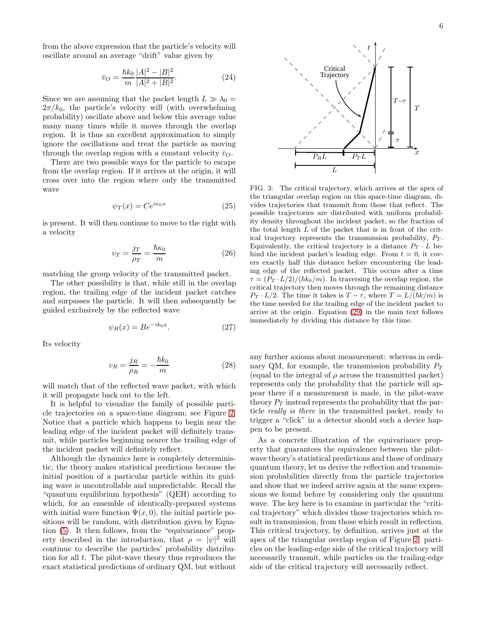from the above expression that the particle's velocity will oscillate around an average "drift" value given by

<span id="page-5-1"></span>
$$
\bar{v}_O = \frac{\hbar k_0}{m} \frac{|A|^2 - |B|^2}{|A|^2 + |B|^2}.
$$
\n(24)

Since we are assuming that the packet length  $L \gg \lambda_0 =$  $2\pi/k_0$ , the particle's velocity will (with overwhelming probability) oscillate above and below this average value many many times while it moves through the overlap region. It is thus an excellent approximation to simply ignore the oscillations and treat the particle as moving through the overlap region with a constant velocity  $\bar{v}_O$ .

There are two possible ways for the particle to escape from the overlap region. If it arrives at the origin, it will cross over into the region where only the transmitted wave

$$
\psi_T(x) = Ce^{i\kappa_0 x} \tag{25}
$$

is present. It will then continue to move to the right with a velocity

$$
v_T = \frac{j_T}{\rho_T} = \frac{\hbar \kappa_0}{m} \tag{26}
$$

matching the group velocity of the transmitted packet.

The other possibility is that, while still in the overlap region, the trailing edge of the incident packet catches and surpasses the particle. It will then subsequently be guided exclusively by the reflected wave

$$
\psi_R(x) = Be^{-ik_0x}.\tag{27}
$$

Its velocity

$$
v_R = \frac{j_R}{\rho_R} = -\frac{\hbar k_0}{m} \tag{28}
$$

will match that of the reflected wave packet, with which it will propagate back out to the left.

It is helpful to visualize the family of possible particle trajectories on a space-time diagram; see Figure [2.](#page-4-0) Notice that a particle which happens to begin near the leading edge of the incident packet will definitely transmit, while particles beginning nearer the trailing edge of the incident packet will definitely reflect.

Although the dynamics here is completely deterministic, the theory makes statistical predictions because the initial position of a particular particle within its guiding wave is uncontrollable and unpredictable. Recall the "quantum equilibrium hypothesis" (QEH) according to which, for an ensemble of identically-prepared systems with initial wave function  $\Psi(x, 0)$ , the initial particle positions will be random, with distribution given by Equation [\(5\)](#page-1-2). It then follows, from the "equivariance" property described in the introduction, that  $\rho = |\psi|^2$  will continue to describe the particles' probability distribution for all t. The pilot-wave theory thus reproduces the exact statistical predictions of ordinary QM, but without

6



<span id="page-5-0"></span>FIG. 3: The critical trajectory, which arrives at the apex of the triangular overlap region on this space-time diagram, divides trajectories that transmit from those that reflect. The possible trajectories are distributed with uniform probability density throughout the incident packet, so the fraction of the total length  $L$  of the packet that is in front of the critical trajectory represents the transmission probability,  $P_T$ . Equivalently, the critical trajectory is a distance  $P_T \cdot L$  behind the incident packet's leading edge. From  $t = 0$ , it covers exactly half this distance before encountering the leading edge of the reflected packet. This occurs after a time  $\tau = (P_T \cdot L/2)/(\hbar k_0/m)$ . In traversing the overlap region, the critical trajectory then moves through the remaining distance  $P_T \cdot L/2$ . The time it takes is  $T - \tau$ , where  $T = L/(\hbar k/m)$  is the time needed for the trailing edge of the incident packet to arrive at the origin. Equation [\(29\)](#page-6-0) in the main text follows immediately by dividing this distance by this time.

any further axioms about measurement: whereas in ordinary QM, for example, the transmission probability  $P_T$ (equal to the integral of  $\rho$  across the transmitted packet) represents only the probability that the particle will appear there if a measurement is made, in the pilot-wave theory  $P_T$  instead represents the probability that the particle really is there in the transmitted packet, ready to trigger a "click" in a detector should such a device happen to be present.

As a concrete illustration of the equivariance property that guarantees the equivalence between the pilotwave theory's statistical predictions and those of ordinary quantum theory, let us derive the reflection and transmission probabilities directly from the particle trajectories and show that we indeed arrive again at the same expressions we found before by considering only the quantum wave. The key here is to examine in particular the "critical trajectory" which divides those trajectories which result in transmission, from those which result in reflection. This critical trajectory, by definition, arrives just at the apex of the triangular overlap region of Figure [2:](#page-4-0) particles on the leading-edge side of the critical trajectory will necessarily transmit, while particles on the trailing-edge side of the critical trajectory will necessarily reflect.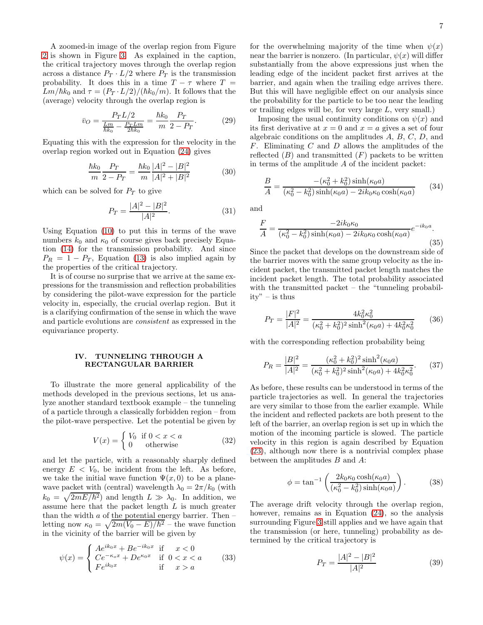A zoomed-in image of the overlap region from Figure [2](#page-4-0) is shown in Figure [3.](#page-5-0) As explained in the caption, the critical trajectory moves through the overlap region across a distance  $P_T \cdot L/2$  where  $P_T$  is the transmission probability. It does this in a time  $T - \tau$  where  $T =$  $Lm/\hbar k_0$  and  $\tau = (P_T \cdot L/2)/(\hbar k_0/m)$ . It follows that the (average) velocity through the overlap region is

<span id="page-6-0"></span>
$$
\bar{v}_O = \frac{P_T L/2}{\frac{Lm}{\hbar k_0} - \frac{P_T L m}{2\hbar k_0}} = \frac{\hbar k_0}{m} \frac{P_T}{2 - P_T}.
$$
 (29)

Equating this with the expression for the velocity in the overlap region worked out in Equation [\(24\)](#page-5-1) gives

$$
\frac{\hbar k_0}{m} \frac{P_T}{2 - P_T} = \frac{\hbar k_0}{m} \frac{|A|^2 - |B|^2}{|A|^2 + |B|^2}
$$
(30)

which can be solved for  $P_T$  to give

$$
P_T = \frac{|A|^2 - |B|^2}{|A|^2}.\tag{31}
$$

Using Equation [\(10\)](#page-2-2) to put this in terms of the wave numbers  $k_0$  and  $\kappa_0$  of course gives back precisely Equation [\(14\)](#page-2-1) for the transmission probability. And since  $P_R = 1 - P_T$ , Equation [\(13\)](#page-2-0) is also implied again by the properties of the critical trajectory.

It is of course no surprise that we arrive at the same expressions for the transmission and reflection probabilities by considering the pilot-wave expression for the particle velocity in, especially, the crucial overlap region. But it is a clarifying confirmation of the sense in which the wave and particle evolutions are consistent as expressed in the equivariance property.

# IV. TUNNELING THROUGH A RECTANGULAR BARRIER

To illustrate the more general applicability of the methods developed in the previous sections, let us analyze another standard textbook example – the tunneling of a particle through a classically forbidden region – from the pilot-wave perspective. Let the potential be given by

$$
V(x) = \begin{cases} V_0 & \text{if } 0 < x < a \\ 0 & \text{otherwise} \end{cases}
$$
 (32)

and let the particle, with a reasonably sharply defined energy  $E < V_0$ , be incident from the left. As before, we take the initial wave function  $\Psi(x, 0)$  to be a planewave packet with (central) wavelength  $\lambda_0 = 2\pi/k_0$  (with  $k_0 = \sqrt{2mE/\hbar^2}$  and length  $L \gg \lambda_0$ . In addition, we assume here that the packet length  $L$  is much greater than the width  $a$  of the potential energy barrier. Then – letting now  $\kappa_0 = \sqrt{2m(V_0 - E)/\hbar^2}$  – the wave function in the vicinity of the barrier will be given by

$$
\psi(x) = \begin{cases}\nA e^{ik_0 x} + B e^{-ik_0 x} & \text{if } x < 0 \\
C e^{-\kappa_0 x} + D e^{\kappa_0 x} & \text{if } 0 < x < a \\
F e^{ik_0 x} & \text{if } x > a\n\end{cases}
$$
\n(33)

for the overwhelming majority of the time when  $\psi(x)$ near the barrier is nonzero. (In particular,  $\psi(x)$  will differ substantially from the above expressions just when the leading edge of the incident packet first arrives at the barrier, and again when the trailing edge arrives there. But this will have negligible effect on our analysis since the probability for the particle to be too near the leading or trailing edges will be, for very large L, very small.)

Imposing the usual continuity conditions on  $\psi(x)$  and its first derivative at  $x = 0$  and  $x = a$  gives a set of four algebraic conditions on the amplitudes A, B, C, D, and  $F$ . Eliminating  $C$  and  $D$  allows the amplitudes of the reflected  $(B)$  and transmitted  $(F)$  packets to be written in terms of the amplitude A of the incident packet:

<span id="page-6-1"></span>
$$
\frac{B}{A} = \frac{-(\kappa_0^2 + k_0^2)\sinh(\kappa_0 a)}{(\kappa_0^2 - k_0^2)\sinh(\kappa_0 a) - 2ik_0\kappa_0\cosh(\kappa_0 a)}\tag{34}
$$

and

$$
\frac{F}{A} = \frac{-2ik_0\kappa_0}{(\kappa_0^2 - k_0^2)\sinh(\kappa_0 a) - 2ik_0\kappa_0\cosh(\kappa_0 a)}e^{-ik_0 a}.
$$
\n(35)

Since the packet that develops on the downstream side of the barrier moves with the same group velocity as the incident packet, the transmitted packet length matches the incident packet length. The total probability associated with the transmitted packet – the "tunneling probabil $ity"$  – is thus

$$
P_T = \frac{|F|^2}{|A|^2} = \frac{4k_0^2 \kappa_0^2}{(\kappa_0^2 + k_0^2)^2 \sinh^2(\kappa_0 a) + 4k_0^2 \kappa_0^2} \tag{36}
$$

with the corresponding reflection probability being

$$
P_R = \frac{|B|^2}{|A|^2} = \frac{(\kappa_0^2 + k_0^2)^2 \sinh^2(\kappa_0 a)}{(\kappa_0^2 + k_0^2)^2 \sinh^2(\kappa_0 a) + 4k_0^2 \kappa_0^2}.
$$
 (37)

As before, these results can be understood in terms of the particle trajectories as well. In general the trajectories are very similar to those from the earlier example. While the incident and reflected packets are both present to the left of the barrier, an overlap region is set up in which the motion of the incoming particle is slowed. The particle velocity in this region is again described by Equation [\(23\)](#page-4-1), although now there is a nontrivial complex phase between the amplitudes B and A:

$$
\phi = \tan^{-1}\left(\frac{2k_0\kappa_0 \cosh(\kappa_0 a)}{(\kappa_0^2 - k_0^2)\sinh(\kappa_0 a)}\right). \tag{38}
$$

The average drift velocity through the overlap region, however, remains as in Equation  $(24)$ , so the analysis surrounding Figure [3](#page-5-0) still applies and we have again that the transmission (or here, tunneling) probability as determined by the critical trajectory is

$$
P_T = \frac{|A|^2 - |B|^2}{|A|^2} \tag{39}
$$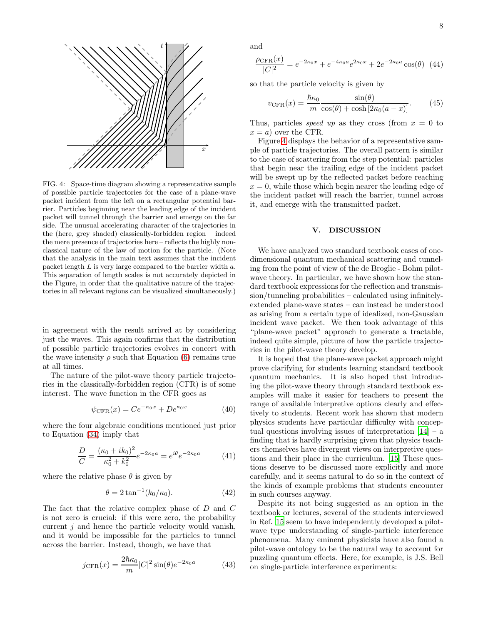

<span id="page-7-0"></span>FIG. 4: Space-time diagram showing a representative sample of possible particle trajectories for the case of a plane-wave packet incident from the left on a rectangular potential barrier. Particles beginning near the leading edge of the incident packet will tunnel through the barrier and emerge on the far side. The unusual accelerating character of the trajectories in the (here, grey shaded) classically-forbidden region – indeed the mere presence of trajectories here – reflects the highly nonclassical nature of the law of motion for the particle. (Note that the analysis in the main text assumes that the incident packet length L is very large compared to the barrier width a. This separation of length scales is not accurately depicted in the Figure, in order that the qualitative nature of the trajectories in all relevant regions can be visualized simultaneously.)

in agreement with the result arrived at by considering just the waves. This again confirms that the distribution of possible particle trajectories evolves in concert with the wave intensity  $\rho$  such that Equation [\(6\)](#page-1-1) remains true at all times.

The nature of the pilot-wave theory particle trajectories in the classically-forbidden region (CFR) is of some interest. The wave function in the CFR goes as

$$
\psi_{\text{CFR}}(x) = Ce^{-\kappa_0 x} + De^{\kappa_0 x} \tag{40}
$$

where the four algebraic conditions mentioned just prior to Equation [\(34\)](#page-6-1) imply that

$$
\frac{D}{C} = \frac{(\kappa_0 + ik_0)^2}{\kappa_0^2 + k_0^2} e^{-2\kappa_0 a} = e^{i\theta} e^{-2\kappa_0 a} \tag{41}
$$

where the relative phase  $\theta$  is given by

$$
\theta = 2 \tan^{-1}(k_0/\kappa_0). \tag{42}
$$

The fact that the relative complex phase of D and C is not zero is crucial: if this were zero, the probability current  $i$  and hence the particle velocity would vanish, and it would be impossible for the particles to tunnel across the barrier. Instead, though, we have that

$$
j_{\text{CFR}}(x) = \frac{2\hbar\kappa_0}{m}|C|^2\sin(\theta)e^{-2\kappa_0 a} \tag{43}
$$

and

$$
\frac{\rho_{\text{CFR}}(x)}{|C|^2} = e^{-2\kappa_0 x} + e^{-4\kappa_0 a} e^{2\kappa_0 x} + 2e^{-2\kappa_0 a} \cos(\theta)
$$
 (44)

so that the particle velocity is given by

$$
v_{\text{CFR}}(x) = \frac{\hbar \kappa_0}{m} \frac{\sin(\theta)}{\cos(\theta) + \cosh\left[2\kappa_0(a-x)\right]}.
$$
 (45)

Thus, particles *speed up* as they cross (from  $x = 0$  to  $x = a$ ) over the CFR.

Figure [4](#page-7-0) displays the behavior of a representative sample of particle trajectories. The overall pattern is similar to the case of scattering from the step potential: particles that begin near the trailing edge of the incident packet will be swept up by the reflected packet before reaching  $x = 0$ , while those which begin nearer the leading edge of the incident packet will reach the barrier, tunnel across it, and emerge with the transmitted packet.

## V. DISCUSSION

We have analyzed two standard textbook cases of onedimensional quantum mechanical scattering and tunneling from the point of view of the de Broglie - Bohm pilotwave theory. In particular, we have shown how the standard textbook expressions for the reflection and transmission/tunneling probabilities – calculated using infinitelyextended plane-wave states – can instead be understood as arising from a certain type of idealized, non-Gaussian incident wave packet. We then took advantage of this "plane-wave packet" approach to generate a tractable, indeed quite simple, picture of how the particle trajectories in the pilot-wave theory develop.

It is hoped that the plane-wave packet approach might prove clarifying for students learning standard textbook quantum mechanics. It is also hoped that introducing the pilot-wave theory through standard textbook examples will make it easier for teachers to present the range of available interpretive options clearly and effectively to students. Recent work has shown that modern physics students have particular difficulty with conceptual questions involving issues of interpretation  $[14]$  – a finding that is hardly surprising given that physics teachers themselves have divergent views on interpretive questions and their place in the curriculum. [\[15\]](#page-9-13) These questions deserve to be discussed more explicitly and more carefully, and it seems natural to do so in the context of the kinds of example problems that students encounter in such courses anyway.

Despite its not being suggested as an option in the textbook or lectures, several of the students interviewed in Ref. [15](#page-9-13) seem to have independently developed a pilotwave type understanding of single-particle interference phenomena. Many eminent physicists have also found a pilot-wave ontology to be the natural way to account for puzzling quantum effects. Here, for example, is J.S. Bell on single-particle interference experiments: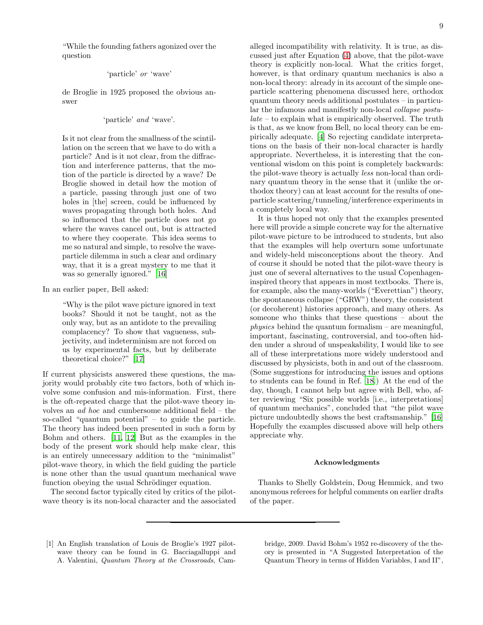"While the founding fathers agonized over the question

## 'particle' or 'wave'

de Broglie in 1925 proposed the obvious answer

#### 'particle' and 'wave'.

Is it not clear from the smallness of the scintillation on the screen that we have to do with a particle? And is it not clear, from the diffraction and interference patterns, that the motion of the particle is directed by a wave? De Broglie showed in detail how the motion of a particle, passing through just one of two holes in [the] screen, could be influenced by waves propagating through both holes. And so influenced that the particle does not go where the waves cancel out, but is attracted to where they cooperate. This idea seems to me so natural and simple, to resolve the waveparticle dilemma in such a clear and ordinary way, that it is a great mystery to me that it was so generally ignored." [\[16\]](#page-9-14)

In an earlier paper, Bell asked:

"Why is the pilot wave picture ignored in text books? Should it not be taught, not as the only way, but as an antidote to the prevailing complacency? To show that vagueness, subjectivity, and indeterminism are not forced on us by experimental facts, but by deliberate theoretical choice?" [\[17](#page-9-15)]

If current physicists answered these questions, the majority would probably cite two factors, both of which involve some confusion and mis-information. First, there is the oft-repeated charge that the pilot-wave theory involves an ad hoc and cumbersome additional field – the so-called "quantum potential" – to guide the particle. The theory has indeed been presented in such a form by Bohm and others. [\[11](#page-9-5), [12](#page-9-10)] But as the examples in the body of the present work should help make clear, this is an entirely unnecessary addition to the "minimalist" pilot-wave theory, in which the field guiding the particle is none other than the usual quantum mechanical wave function obeying the usual Schrödinger equation.

The second factor typically cited by critics of the pilotwave theory is its non-local character and the associated alleged incompatibility with relativity. It is true, as discussed just after Equation [\(4\)](#page-0-2) above, that the pilot-wave theory is explicitly non-local. What the critics forget, however, is that ordinary quantum mechanics is also a non-local theory: already in its account of the simple oneparticle scattering phenomena discussed here, orthodox quantum theory needs additional postulates – in particular the infamous and manifestly non-local collapse postu $late - to explain what is empirically observed. The truth$ is that, as we know from Bell, no local theory can be empirically adequate. [\[4\]](#page-9-1) So rejecting candidate interpretations on the basis of their non-local character is hardly appropriate. Nevertheless, it is interesting that the conventional wisdom on this point is completely backwards: the pilot-wave theory is actually less non-local than ordinary quantum theory in the sense that it (unlike the orthodox theory) can at least account for the results of oneparticle scattering/tunneling/interference experiments in a completely local way.

It is thus hoped not only that the examples presented here will provide a simple concrete way for the alternative pilot-wave picture to be introduced to students, but also that the examples will help overturn some unfortunate and widely-held misconceptions about the theory. And of course it should be noted that the pilot-wave theory is just one of several alternatives to the usual Copenhageninspired theory that appears in most textbooks. There is, for example, also the many-worlds ("Everettian") theory, the spontaneous collapse ("GRW") theory, the consistent (or decoherent) histories approach, and many others. As someone who thinks that these questions – about the *physics* behind the quantum formalism – are meaningful, important, fascinating, controversial, and too-often hidden under a shroud of unspeakability, I would like to see all of these interpretations more widely understood and discussed by physicists, both in and out of the classroom. (Some suggestions for introducing the issues and options to students can be found in Ref. [18.](#page-9-16)) At the end of the day, though, I cannot help but agree with Bell, who, after reviewing "Six possible worlds [i.e., interpretations] of quantum mechanics", concluded that "the pilot wave picture undoubtedly shows the best craftsmanship." [\[16](#page-9-14)] Hopefully the examples discussed above will help others appreciate why.

#### Acknowledgments

Thanks to Shelly Goldstein, Doug Hemmick, and two anonymous referees for helpful comments on earlier drafts of the paper.

<span id="page-8-0"></span>[1] An English translation of Louis de Broglie's 1927 pilotwave theory can be found in G. Bacciagalluppi and A. Valentini, *Quantum Theory at the Crossroads*, Cambridge, 2009. David Bohm's 1952 re-discovery of the theory is presented in "A Suggested Interpretation of the Quantum Theory in terms of Hidden Variables, I and II",